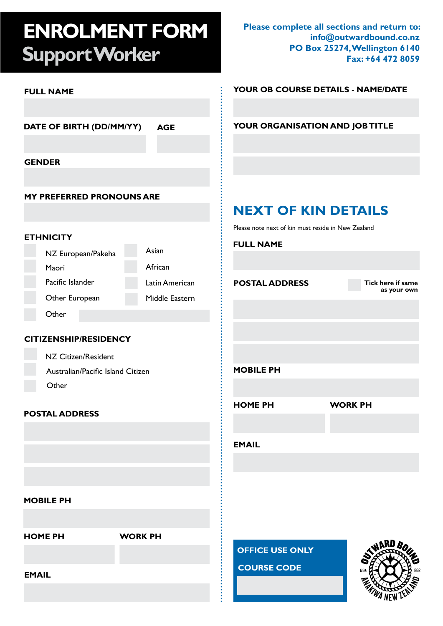# **ENROLMENT FORM Support Worker**

**Please complete all sections and return to: info@outwardbound.co.nz PO Box 25274, Wellington 6140 Fax: +64 472 8059**

| <b>FULL NAME</b>                       |                                                    | YOUR OB COURSE DETAILS - NAME/DATE |
|----------------------------------------|----------------------------------------------------|------------------------------------|
|                                        |                                                    |                                    |
| DATE OF BIRTH (DD/MM/YY)<br><b>AGE</b> |                                                    | YOUR ORGANISATION AND JOB TITLE    |
| <b>GENDER</b>                          |                                                    |                                    |
|                                        |                                                    |                                    |
| <b>MY PREFERRED PRONOUNS ARE</b>       |                                                    |                                    |
|                                        | <b>NEXT OF KIN DETAILS</b>                         |                                    |
|                                        | Please note next of kin must reside in New Zealand |                                    |
| <b>ETHNICITY</b>                       | <b>FULL NAME</b>                                   |                                    |
| Asian<br>NZ European/Pakeha            |                                                    |                                    |
| African<br>Māori                       |                                                    |                                    |
| Pacific Islander                       | Latin American<br><b>POSTAL ADDRESS</b>            | Tick here if same<br>as your own   |
| Other European                         | Middle Eastern                                     |                                    |
| Other                                  |                                                    |                                    |
|                                        |                                                    |                                    |
| <b>CITIZENSHIP/RESIDENCY</b>           |                                                    |                                    |
| NZ Citizen/Resident                    |                                                    |                                    |
| Australian/Pacific Island Citizen      | <b>MOBILE PH</b>                                   |                                    |
| Other                                  |                                                    |                                    |
|                                        | <b>HOME PH</b>                                     | <b>WORK PH</b>                     |
| <b>POSTAL ADDRESS</b>                  |                                                    |                                    |
|                                        |                                                    |                                    |
|                                        | <b>EMAIL</b>                                       |                                    |
|                                        |                                                    |                                    |
|                                        |                                                    |                                    |
| <b>MOBILE PH</b>                       |                                                    |                                    |
|                                        |                                                    |                                    |
|                                        |                                                    |                                    |
| <b>WORK PH</b><br><b>HOME PH</b>       |                                                    |                                    |
|                                        | <b>OFFICE USE ONLY</b>                             |                                    |
| <b>EMAIL</b>                           | <b>COURSE CODE</b>                                 | <b>EST</b>                         |
|                                        |                                                    |                                    |
|                                        |                                                    |                                    |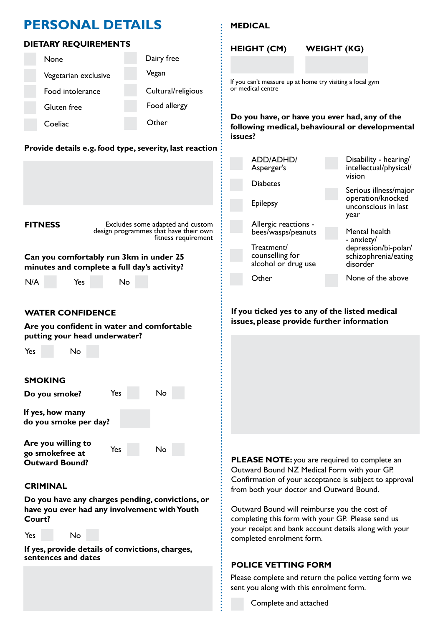## **PERSONAL DETAILS**

### **DIETARY REQUIREMENTS**

| <b>None</b>          | Dairy free         |
|----------------------|--------------------|
| Vegetarian exclusive | Vegan              |
| Food intolerance     | Cultural/religious |
| Gluten free          | Food allergy       |
| Coeliac              | $O$ ther           |

### **Provide details e.g. food type, severity, last reaction**



# **CRIMINAL**

**go smokefree at Outward Bound?** 

**Do you have any charges pending, convictions, or have you ever had any involvement with Youth Court?** 

Yes

No

```
Yes
No
```
**If yes, provide details of convictions, charges, sentences and dates**

### **MEDICAL**



**PLEASE NOTE:** you are required to complete an Outward Bound NZ Medical Form with your GP. Confirmation of your acceptance is subject to approval from both your doctor and Outward Bound.

Outward Bound will reimburse you the cost of completing this form with your GP. Please send us your receipt and bank account details along with your completed enrolment form.

### **POLICE VETTING FORM**

Please complete and return the police vetting form we sent you along with this enrolment form.

Complete and attached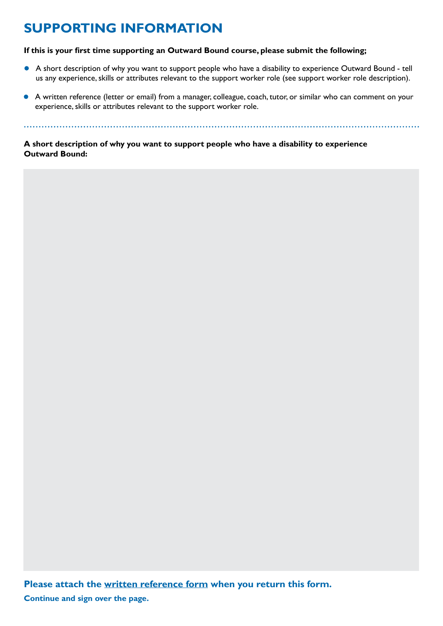# **SUPPORTING INFORMATION**

#### **If this is your first time supporting an Outward Bound course, please submit the following;**

- A short description of why you want to support people who have a disability to experience Outward Bound tell us any experience, skills or attributes relevant to the support worker role (see support worker role description).
- A written reference (letter or email) from a manager, colleague, coach, tutor, or similar who can comment on your experience, skills or attributes relevant to the support worker role.

**A short description of why you want to support people who have a disability to experience Outward Bound:**